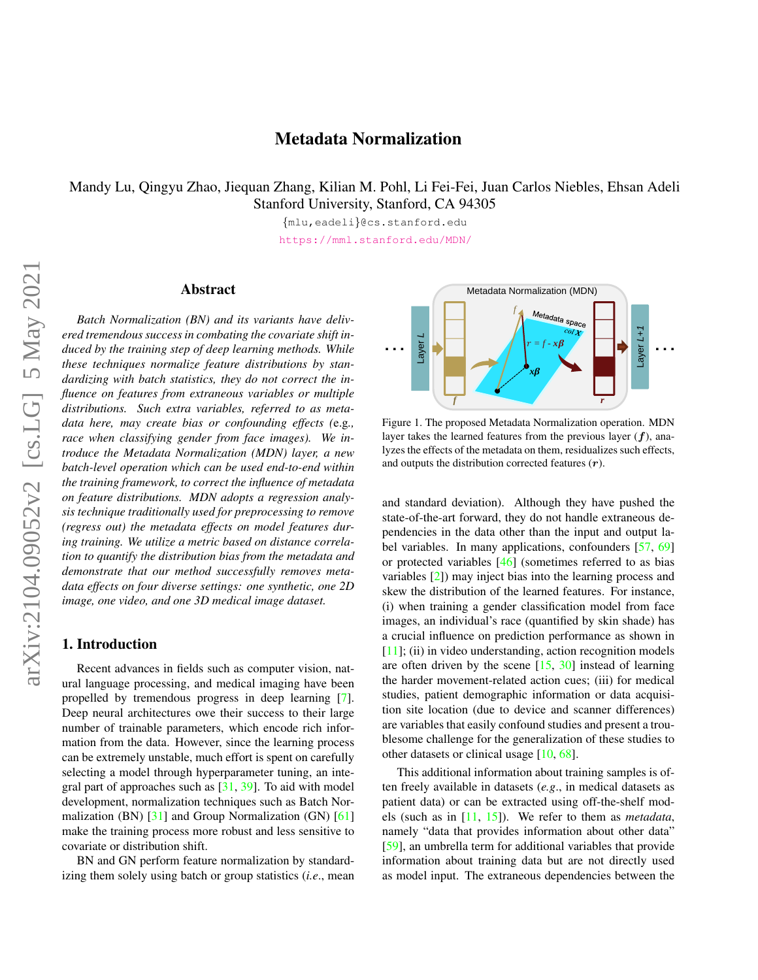# Metadata Normalization

Mandy Lu, Qingyu Zhao, Jiequan Zhang, Kilian M. Pohl, Li Fei-Fei, Juan Carlos Niebles, Ehsan Adeli Stanford University, Stanford, CA 94305

> {mlu,eadeli}@cs.stanford.edu <https://mml.stanford.edu/MDN/>

### Abstract

*Batch Normalization (BN) and its variants have delivered tremendous success in combating the covariate shift induced by the training step of deep learning methods. While these techniques normalize feature distributions by standardizing with batch statistics, they do not correct the influence on features from extraneous variables or multiple distributions. Such extra variables, referred to as metadata here, may create bias or confounding effects (*e.g*., race when classifying gender from face images). We introduce the Metadata Normalization (MDN) layer, a new batch-level operation which can be used end-to-end within the training framework, to correct the influence of metadata on feature distributions. MDN adopts a regression analysis technique traditionally used for preprocessing to remove (regress out) the metadata effects on model features during training. We utilize a metric based on distance correlation to quantify the distribution bias from the metadata and demonstrate that our method successfully removes metadata effects on four diverse settings: one synthetic, one 2D image, one video, and one 3D medical image dataset.*

### 1. Introduction

Recent advances in fields such as computer vision, natural language processing, and medical imaging have been propelled by tremendous progress in deep learning [\[7\]](#page-8-0). Deep neural architectures owe their success to their large number of trainable parameters, which encode rich information from the data. However, since the learning process can be extremely unstable, much effort is spent on carefully selecting a model through hyperparameter tuning, an integral part of approaches such as [\[31,](#page-9-0) [39\]](#page-9-1). To aid with model development, normalization techniques such as Batch Normalization (BN) [\[31\]](#page-9-0) and Group Normalization (GN) [\[61\]](#page-10-0) make the training process more robust and less sensitive to covariate or distribution shift.

BN and GN perform feature normalization by standardizing them solely using batch or group statistics (*i.e*., mean



<span id="page-0-0"></span>Figure 1. The proposed Metadata Normalization operation. MDN layer takes the learned features from the previous layer  $(f)$ , analyzes the effects of the metadata on them, residualizes such effects, and outputs the distribution corrected features  $(r)$ .

and standard deviation). Although they have pushed the state-of-the-art forward, they do not handle extraneous dependencies in the data other than the input and output label variables. In many applications, confounders [\[57,](#page-9-2) [69\]](#page-10-1) or protected variables [\[46\]](#page-9-3) (sometimes referred to as bias variables [\[2\]](#page-8-1)) may inject bias into the learning process and skew the distribution of the learned features. For instance, (i) when training a gender classification model from face images, an individual's race (quantified by skin shade) has a crucial influence on prediction performance as shown in  $[11]$ ; (ii) in video understanding, action recognition models are often driven by the scene  $[15, 30]$  $[15, 30]$  $[15, 30]$  instead of learning the harder movement-related action cues; (iii) for medical studies, patient demographic information or data acquisition site location (due to device and scanner differences) are variables that easily confound studies and present a troublesome challenge for the generalization of these studies to other datasets or clinical usage [\[10,](#page-8-5) [68\]](#page-10-2).

This additional information about training samples is often freely available in datasets (*e.g*., in medical datasets as patient data) or can be extracted using off-the-shelf models (such as in [\[11,](#page-8-2) [15\]](#page-8-3)). We refer to them as *metadata*, namely "data that provides information about other data" [\[59\]](#page-9-4), an umbrella term for additional variables that provide information about training data but are not directly used as model input. The extraneous dependencies between the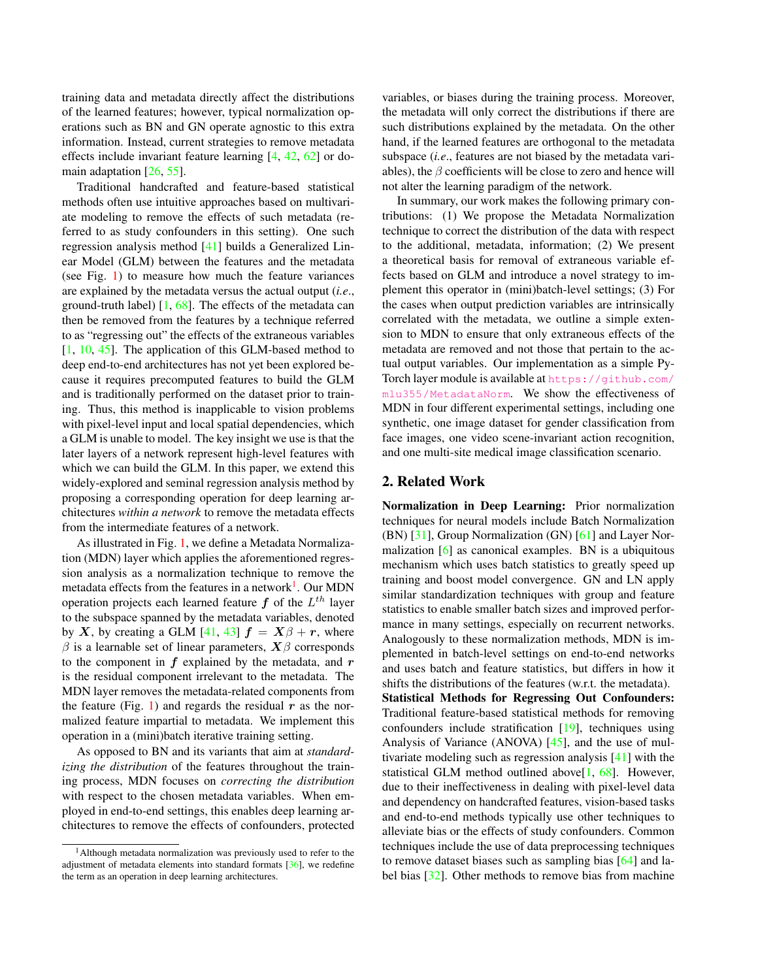training data and metadata directly affect the distributions of the learned features; however, typical normalization operations such as BN and GN operate agnostic to this extra information. Instead, current strategies to remove metadata effects include invariant feature learning [\[4,](#page-8-6) [42,](#page-9-5) [62\]](#page-10-3) or domain adaptation  $[26, 55]$  $[26, 55]$  $[26, 55]$ .

Traditional handcrafted and feature-based statistical methods often use intuitive approaches based on multivariate modeling to remove the effects of such metadata (referred to as study confounders in this setting). One such regression analysis method [\[41\]](#page-9-7) builds a Generalized Linear Model (GLM) between the features and the metadata (see Fig. [1\)](#page-0-0) to measure how much the feature variances are explained by the metadata versus the actual output (*i.e*., ground-truth label)  $[1, 68]$  $[1, 68]$  $[1, 68]$ . The effects of the metadata can then be removed from the features by a technique referred to as "regressing out" the effects of the extraneous variables  $[1, 10, 45]$  $[1, 10, 45]$  $[1, 10, 45]$  $[1, 10, 45]$  $[1, 10, 45]$ . The application of this GLM-based method to deep end-to-end architectures has not yet been explored because it requires precomputed features to build the GLM and is traditionally performed on the dataset prior to training. Thus, this method is inapplicable to vision problems with pixel-level input and local spatial dependencies, which a GLM is unable to model. The key insight we use is that the later layers of a network represent high-level features with which we can build the GLM. In this paper, we extend this widely-explored and seminal regression analysis method by proposing a corresponding operation for deep learning architectures *within a network* to remove the metadata effects from the intermediate features of a network.

As illustrated in Fig. [1,](#page-0-0) we define a Metadata Normalization (MDN) layer which applies the aforementioned regression analysis as a normalization technique to remove the metadata effects from the features in a network<sup>[1](#page-1-0)</sup>. Our MDN operation projects each learned feature  $f$  of the  $L^{th}$  layer to the subspace spanned by the metadata variables, denoted by X, by creating a GLM [\[41,](#page-9-7) [43\]](#page-9-9)  $f = X\beta + r$ , where  $\beta$  is a learnable set of linear parameters,  $X\beta$  corresponds to the component in  $f$  explained by the metadata, and  $r$ is the residual component irrelevant to the metadata. The MDN layer removes the metadata-related components from the feature (Fig. [1\)](#page-0-0) and regards the residual  $r$  as the normalized feature impartial to metadata. We implement this operation in a (mini)batch iterative training setting.

As opposed to BN and its variants that aim at *standardizing the distribution* of the features throughout the training process, MDN focuses on *correcting the distribution* with respect to the chosen metadata variables. When employed in end-to-end settings, this enables deep learning architectures to remove the effects of confounders, protected variables, or biases during the training process. Moreover, the metadata will only correct the distributions if there are such distributions explained by the metadata. On the other hand, if the learned features are orthogonal to the metadata subspace (*i.e*., features are not biased by the metadata variables), the  $\beta$  coefficients will be close to zero and hence will not alter the learning paradigm of the network.

In summary, our work makes the following primary contributions: (1) We propose the Metadata Normalization technique to correct the distribution of the data with respect to the additional, metadata, information; (2) We present a theoretical basis for removal of extraneous variable effects based on GLM and introduce a novel strategy to implement this operator in (mini)batch-level settings; (3) For the cases when output prediction variables are intrinsically correlated with the metadata, we outline a simple extension to MDN to ensure that only extraneous effects of the metadata are removed and not those that pertain to the actual output variables. Our implementation as a simple Py-Torch layer module is available at [https://github.com/](https://github.com/mlu355/MetadataNorm) [mlu355/MetadataNorm](https://github.com/mlu355/MetadataNorm). We show the effectiveness of MDN in four different experimental settings, including one synthetic, one image dataset for gender classification from face images, one video scene-invariant action recognition, and one multi-site medical image classification scenario.

# 2. Related Work

Normalization in Deep Learning: Prior normalization techniques for neural models include Batch Normalization (BN) [\[31\]](#page-9-0), Group Normalization (GN) [\[61\]](#page-10-0) and Layer Normalization [\[6\]](#page-8-9) as canonical examples. BN is a ubiquitous mechanism which uses batch statistics to greatly speed up training and boost model convergence. GN and LN apply similar standardization techniques with group and feature statistics to enable smaller batch sizes and improved performance in many settings, especially on recurrent networks. Analogously to these normalization methods, MDN is implemented in batch-level settings on end-to-end networks and uses batch and feature statistics, but differs in how it shifts the distributions of the features (w.r.t. the metadata).

Statistical Methods for Regressing Out Confounders: Traditional feature-based statistical methods for removing confounders include stratification [\[19\]](#page-8-10), techniques using Analysis of Variance (ANOVA) [\[45\]](#page-9-8), and the use of multivariate modeling such as regression analysis [\[41\]](#page-9-7) with the statistical GLM method outlined above<sup>[\[1,](#page-8-8) [68\]](#page-10-2)</sup>. However, due to their ineffectiveness in dealing with pixel-level data and dependency on handcrafted features, vision-based tasks and end-to-end methods typically use other techniques to alleviate bias or the effects of study confounders. Common techniques include the use of data preprocessing techniques to remove dataset biases such as sampling bias [\[64\]](#page-10-4) and label bias [\[32\]](#page-9-11). Other methods to remove bias from machine

<span id="page-1-0"></span><sup>&</sup>lt;sup>1</sup>Although metadata normalization was previously used to refer to the adjustment of metadata elements into standard formats [\[36\]](#page-9-10), we redefine the term as an operation in deep learning architectures.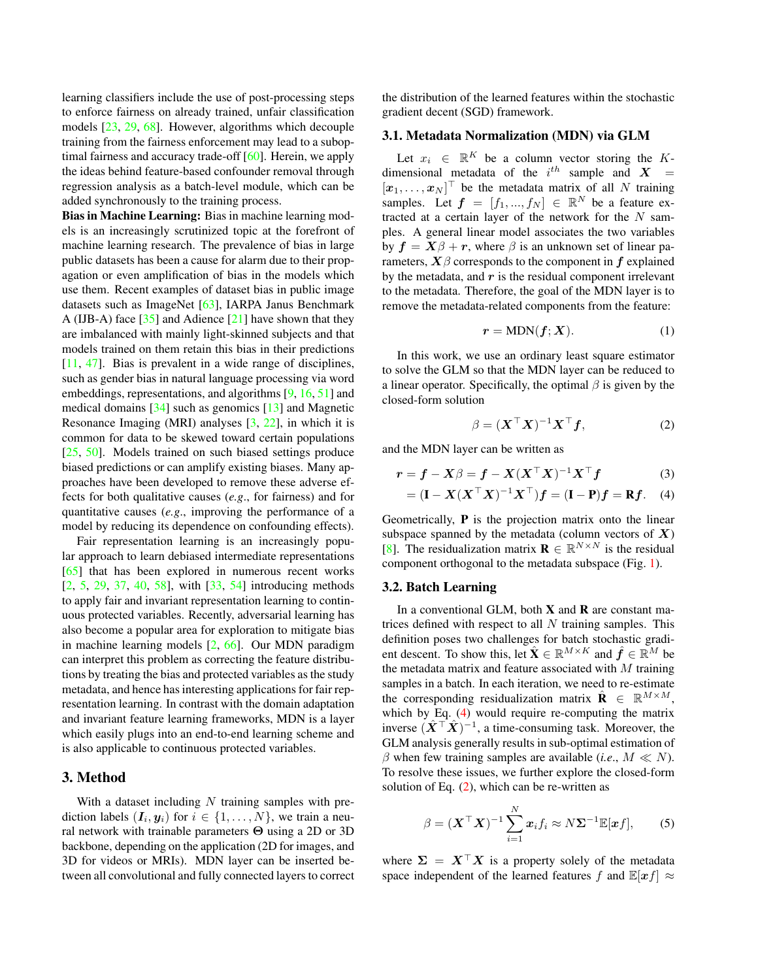learning classifiers include the use of post-processing steps to enforce fairness on already trained, unfair classification models [\[23,](#page-8-11) [29,](#page-8-12) [68\]](#page-10-2). However, algorithms which decouple training from the fairness enforcement may lead to a suboptimal fairness and accuracy trade-off [\[60\]](#page-10-5). Herein, we apply the ideas behind feature-based confounder removal through regression analysis as a batch-level module, which can be added synchronously to the training process.

Bias in Machine Learning: Bias in machine learning models is an increasingly scrutinized topic at the forefront of machine learning research. The prevalence of bias in large public datasets has been a cause for alarm due to their propagation or even amplification of bias in the models which use them. Recent examples of dataset bias in public image datasets such as ImageNet [\[63\]](#page-10-6), IARPA Janus Benchmark A (IJB-A) face  $\lceil 35 \rceil$  and Adience  $\lceil 21 \rceil$  have shown that they are imbalanced with mainly light-skinned subjects and that models trained on them retain this bias in their predictions [\[11,](#page-8-2) [47\]](#page-9-13). Bias is prevalent in a wide range of disciplines, such as gender bias in natural language processing via word embeddings, representations, and algorithms [\[9,](#page-8-14) [16,](#page-8-15) [51\]](#page-9-14) and medical domains [\[34\]](#page-9-15) such as genomics [\[13\]](#page-8-16) and Magnetic Resonance Imaging (MRI) analyses [\[3,](#page-8-17) [22\]](#page-8-18), in which it is common for data to be skewed toward certain populations [\[25,](#page-8-19) [50\]](#page-9-16). Models trained on such biased settings produce biased predictions or can amplify existing biases. Many approaches have been developed to remove these adverse effects for both qualitative causes (*e.g*., for fairness) and for quantitative causes (*e.g*., improving the performance of a model by reducing its dependence on confounding effects).

Fair representation learning is an increasingly popular approach to learn debiased intermediate representations [\[65\]](#page-10-7) that has been explored in numerous recent works [\[2,](#page-8-1) [5,](#page-8-20) [29,](#page-8-12) [37,](#page-9-17) [40,](#page-9-18) [58\]](#page-9-19), with [\[33,](#page-9-20) [54\]](#page-9-21) introducing methods to apply fair and invariant representation learning to continuous protected variables. Recently, adversarial learning has also become a popular area for exploration to mitigate bias in machine learning models [\[2,](#page-8-1) [66\]](#page-10-8). Our MDN paradigm can interpret this problem as correcting the feature distributions by treating the bias and protected variables as the study metadata, and hence has interesting applications for fair representation learning. In contrast with the domain adaptation and invariant feature learning frameworks, MDN is a layer which easily plugs into an end-to-end learning scheme and is also applicable to continuous protected variables.

# 3. Method

With a dataset including  $N$  training samples with prediction labels  $(\mathbf{I}_i, \mathbf{y}_i)$  for  $i \in \{1, \dots, N\}$ , we train a neural network with trainable parameters Θ using a 2D or 3D backbone, depending on the application (2D for images, and 3D for videos or MRIs). MDN layer can be inserted between all convolutional and fully connected layers to correct the distribution of the learned features within the stochastic gradient decent (SGD) framework.

### 3.1. Metadata Normalization (MDN) via GLM

Let  $x_i \in \mathbb{R}^K$  be a column vector storing the Kdimensional metadata of the  $i^{th}$  sample and  $X =$  $[\boldsymbol{x}_1, \dots, \boldsymbol{x}_N]^\top$  be the metadata matrix of all N training samples. Let  $f = [f_1, ..., f_N] \in \mathbb{R}^N$  be a feature extracted at a certain layer of the network for the  $N$  samples. A general linear model associates the two variables by  $f = X\beta + r$ , where  $\beta$  is an unknown set of linear parameters,  $X\beta$  corresponds to the component in f explained by the metadata, and  $r$  is the residual component irrelevant to the metadata. Therefore, the goal of the MDN layer is to remove the metadata-related components from the feature:

$$
r = \text{MDN}(f; X). \tag{1}
$$

In this work, we use an ordinary least square estimator to solve the GLM so that the MDN layer can be reduced to a linear operator. Specifically, the optimal  $\beta$  is given by the closed-form solution

<span id="page-2-1"></span><span id="page-2-0"></span>
$$
\beta = (\boldsymbol{X}^\top \boldsymbol{X})^{-1} \boldsymbol{X}^\top \boldsymbol{f}, \tag{2}
$$

and the MDN layer can be written as

$$
r = f - X\beta = f - X(X^{\top}X)^{-1}X^{\top}f \tag{3}
$$

$$
= (\mathbf{I} - \mathbf{X}(\mathbf{X}^\top \mathbf{X})^{-1} \mathbf{X}^\top) \mathbf{f} = (\mathbf{I} - \mathbf{P})\mathbf{f} = \mathbf{R}\mathbf{f}.
$$
 (4)

Geometrically, P is the projection matrix onto the linear subspace spanned by the metadata (column vectors of  $X$ ) [\[8\]](#page-8-21). The residualization matrix  $\mathbf{R} \in \mathbb{R}^{N \times N}$  is the residual component orthogonal to the metadata subspace (Fig. [1\)](#page-0-0).

#### 3.2. Batch Learning

In a conventional GLM, both  $X$  and  $R$  are constant matrices defined with respect to all  $N$  training samples. This definition poses two challenges for batch stochastic gradient descent. To show this, let  $\hat{\mathbf{X}} \in \mathbb{R}^{M \times K}$  and  $\hat{\mathbf{f}} \in \mathbb{R}^{M}$  be the metadata matrix and feature associated with  $M$  training samples in a batch. In each iteration, we need to re-estimate the corresponding residualization matrix  $\mathbf{\hat{R}} \in \mathbb{R}^{M \times M}$ , which by Eq. [\(4\)](#page-2-0) would require re-computing the matrix inverse  $(\hat{\boldsymbol{X}}^{\top} \hat{\boldsymbol{X}})^{-1}$ , a time-consuming task. Moreover, the GLM analysis generally results in sub-optimal estimation of β when few training samples are available (*i.e.*,  $M \ll N$ ). To resolve these issues, we further explore the closed-form solution of Eq.  $(2)$ , which can be re-written as

<span id="page-2-2"></span>
$$
\beta = (\boldsymbol{X}^\top \boldsymbol{X})^{-1} \sum_{i=1}^N \boldsymbol{x}_i f_i \approx N \boldsymbol{\Sigma}^{-1} \mathbb{E}[\boldsymbol{x} f], \qquad (5)
$$

where  $\Sigma = X^{\top} X$  is a property solely of the metadata space independent of the learned features f and  $\mathbb{E}[xf] \approx$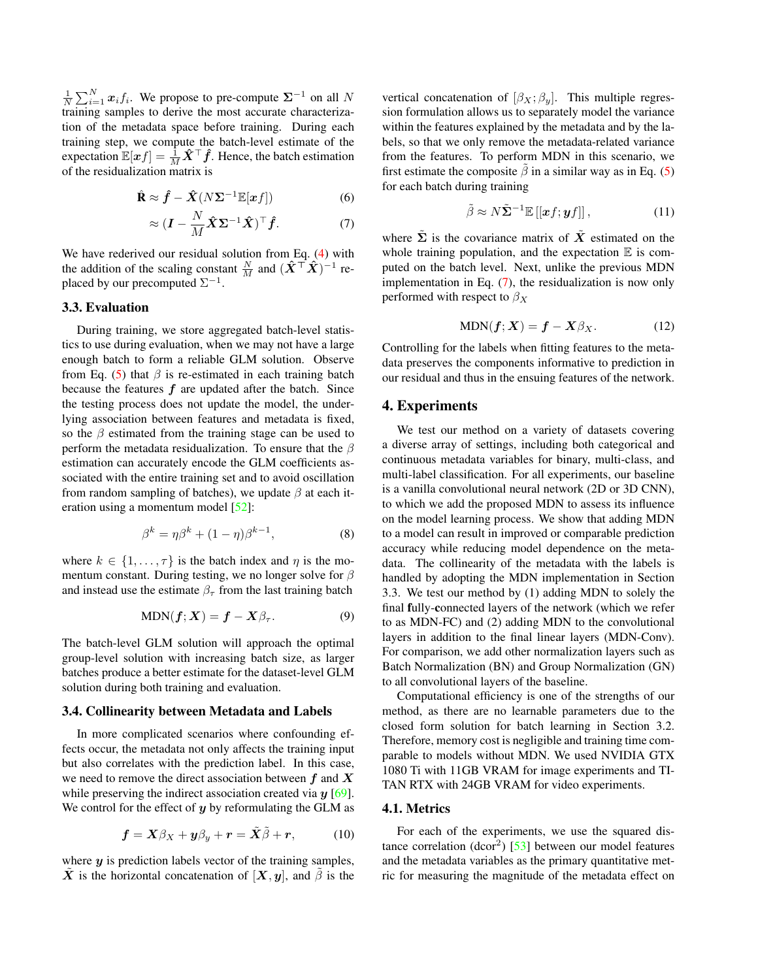$\frac{1}{N} \sum_{i=1}^{N} x_i f_i$ . We propose to pre-compute  $\Sigma^{-1}$  on all N training samples to derive the most accurate characterization of the metadata space before training. During each training step, we compute the batch-level estimate of the expectation  $\mathbb{E}[xf] = \frac{\hat{1}}{M}\hat{X}^\top \hat{f}$ . Hence, the batch estimation of the residualization matrix is

$$
\hat{\mathbf{R}} \approx \hat{f} - \hat{X}(N\Sigma^{-1}\mathbb{E}[xf]) \tag{6}
$$

$$
\approx (\boldsymbol{I} - \frac{N}{M}\hat{\boldsymbol{X}}\boldsymbol{\Sigma}^{-1}\hat{\boldsymbol{X}})^{\top}\hat{\boldsymbol{f}}.
$$
 (7)

We have rederived our residual solution from Eq. [\(4\)](#page-2-0) with the addition of the scaling constant  $\frac{N}{M}$  and  $(\hat{\mathbf{X}}^{\top} \hat{\mathbf{X}})^{-1}$  replaced by our precomputed  $\Sigma^{-1}$ .

### 3.3. Evaluation

During training, we store aggregated batch-level statistics to use during evaluation, when we may not have a large enough batch to form a reliable GLM solution. Observe from Eq. [\(5\)](#page-2-2) that  $\beta$  is re-estimated in each training batch because the features  $f$  are updated after the batch. Since the testing process does not update the model, the underlying association between features and metadata is fixed, so the  $\beta$  estimated from the training stage can be used to perform the metadata residualization. To ensure that the  $\beta$ estimation can accurately encode the GLM coefficients associated with the entire training set and to avoid oscillation from random sampling of batches), we update  $\beta$  at each iteration using a momentum model [\[52\]](#page-9-22):

$$
\beta^k = \eta \beta^k + (1 - \eta)\beta^{k-1},\tag{8}
$$

where  $k \in \{1, \ldots, \tau\}$  is the batch index and  $\eta$  is the momentum constant. During testing, we no longer solve for  $\beta$ and instead use the estimate  $\beta_{\tau}$  from the last training batch

$$
MDN(f; X) = f - X\beta_{\tau}.
$$
 (9)

The batch-level GLM solution will approach the optimal group-level solution with increasing batch size, as larger batches produce a better estimate for the dataset-level GLM solution during both training and evaluation.

#### 3.4. Collinearity between Metadata and Labels

In more complicated scenarios where confounding effects occur, the metadata not only affects the training input but also correlates with the prediction label. In this case, we need to remove the direct association between  $f$  and  $X$ while preserving the indirect association created via  $y$  [\[69\]](#page-10-1). We control for the effect of  $y$  by reformulating the GLM as

$$
\mathbf{f} = \mathbf{X}\beta_X + \mathbf{y}\beta_y + \mathbf{r} = \tilde{\mathbf{X}}\tilde{\beta} + \mathbf{r},\tag{10}
$$

where  $y$  is prediction labels vector of the training samples, X is the horizontal concatenation of  $[X, y]$ , and  $\beta$  is the vertical concatenation of  $[\beta_X; \beta_y]$ . This multiple regression formulation allows us to separately model the variance within the features explained by the metadata and by the labels, so that we only remove the metadata-related variance from the features. To perform MDN in this scenario, we first estimate the composite  $\tilde{\beta}$  in a similar way as in Eq. [\(5\)](#page-2-2) for each batch during training

$$
\tilde{\beta} \approx N \tilde{\Sigma}^{-1} \mathbb{E} \left[ \left[ \boldsymbol{x} f; \boldsymbol{y} f \right] \right], \tag{11}
$$

<span id="page-3-0"></span>where  $\Sigma$  is the covariance matrix of  $\overline{X}$  estimated on the whole training population, and the expectation  $E$  is computed on the batch level. Next, unlike the previous MDN implementation in Eq. [\(7\)](#page-3-0), the residualization is now only performed with respect to  $\beta_X$ 

$$
MDN(f; X) = f - X\beta_X.
$$
 (12)

Controlling for the labels when fitting features to the metadata preserves the components informative to prediction in our residual and thus in the ensuing features of the network.

#### 4. Experiments

We test our method on a variety of datasets covering a diverse array of settings, including both categorical and continuous metadata variables for binary, multi-class, and multi-label classification. For all experiments, our baseline is a vanilla convolutional neural network (2D or 3D CNN), to which we add the proposed MDN to assess its influence on the model learning process. We show that adding MDN to a model can result in improved or comparable prediction accuracy while reducing model dependence on the metadata. The collinearity of the metadata with the labels is handled by adopting the MDN implementation in Section 3.3. We test our method by (1) adding MDN to solely the final fully-connected layers of the network (which we refer to as MDN-FC) and (2) adding MDN to the convolutional layers in addition to the final linear layers (MDN-Conv). For comparison, we add other normalization layers such as Batch Normalization (BN) and Group Normalization (GN) to all convolutional layers of the baseline.

Computational efficiency is one of the strengths of our method, as there are no learnable parameters due to the closed form solution for batch learning in Section 3.2. Therefore, memory cost is negligible and training time comparable to models without MDN. We used NVIDIA GTX 1080 Ti with 11GB VRAM for image experiments and TI-TAN RTX with 24GB VRAM for video experiments.

### 4.1. Metrics

For each of the experiments, we use the squared distance correlation  $(dcor^2)$  [\[53\]](#page-9-23) between our model features and the metadata variables as the primary quantitative metric for measuring the magnitude of the metadata effect on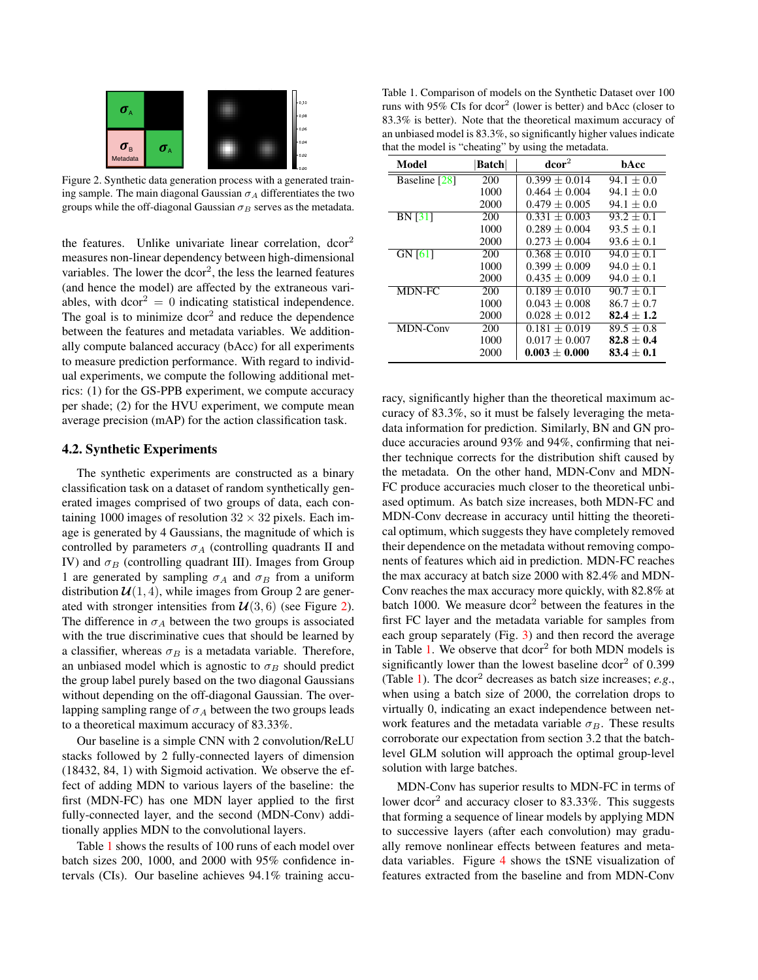

<span id="page-4-0"></span>Figure 2. Synthetic data generation process with a generated training sample. The main diagonal Gaussian  $\sigma_A$  differentiates the two groups while the off-diagonal Gaussian  $\sigma_B$  serves as the metadata.

the features. Unlike univariate linear correlation,  $dcor<sup>2</sup>$ measures non-linear dependency between high-dimensional variables. The lower the  $dcor<sup>2</sup>$ , the less the learned features (and hence the model) are affected by the extraneous variables, with  $d\text{cor}^2 = 0$  indicating statistical independence. The goal is to minimize  $dcor<sup>2</sup>$  and reduce the dependence between the features and metadata variables. We additionally compute balanced accuracy (bAcc) for all experiments to measure prediction performance. With regard to individual experiments, we compute the following additional metrics: (1) for the GS-PPB experiment, we compute accuracy per shade; (2) for the HVU experiment, we compute mean average precision (mAP) for the action classification task.

### 4.2. Synthetic Experiments

The synthetic experiments are constructed as a binary classification task on a dataset of random synthetically generated images comprised of two groups of data, each containing 1000 images of resolution  $32 \times 32$  pixels. Each image is generated by 4 Gaussians, the magnitude of which is controlled by parameters  $\sigma_A$  (controlling quadrants II and IV) and  $\sigma_B$  (controlling quadrant III). Images from Group 1 are generated by sampling  $\sigma_A$  and  $\sigma_B$  from a uniform distribution  $\mathcal{U}(1, 4)$ , while images from Group 2 are generated with stronger intensities from  $\mathcal{U}(3,6)$  (see Figure [2\)](#page-4-0). The difference in  $\sigma_A$  between the two groups is associated with the true discriminative cues that should be learned by a classifier, whereas  $\sigma_B$  is a metadata variable. Therefore, an unbiased model which is agnostic to  $\sigma_B$  should predict the group label purely based on the two diagonal Gaussians without depending on the off-diagonal Gaussian. The overlapping sampling range of  $\sigma_A$  between the two groups leads to a theoretical maximum accuracy of 83.33%.

Our baseline is a simple CNN with 2 convolution/ReLU stacks followed by 2 fully-connected layers of dimension (18432, 84, 1) with Sigmoid activation. We observe the effect of adding MDN to various layers of the baseline: the first (MDN-FC) has one MDN layer applied to the first fully-connected layer, and the second (MDN-Conv) additionally applies MDN to the convolutional layers.

Table [1](#page-4-1) shows the results of 100 runs of each model over batch sizes 200, 1000, and 2000 with 95% confidence intervals (CIs). Our baseline achieves 94.1% training accu-

<span id="page-4-1"></span>Table 1. Comparison of models on the Synthetic Dataset over 100 runs with  $95\%$  CIs for dcor<sup>2</sup> (lower is better) and bAcc (closer to 83.3% is better). Note that the theoretical maximum accuracy of an unbiased model is 83.3%, so significantly higher values indicate that the model is "cheating" by using the metadata.

| Model          | <b>Batch</b> | dcor <sup>2</sup> | bAcc           |
|----------------|--------------|-------------------|----------------|
| Baseline [28]  | 200          | $0.399 + 0.014$   | $94.1 + 0.0$   |
|                | 1000         | $0.464 + 0.004$   | $94.1 + 0.0$   |
|                | 2000         | $0.479 + 0.005$   | $94.1 + 0.0$   |
| <b>BN</b> [31] | 200          | $0.331 + 0.003$   | $93.2 + 0.1$   |
|                | 1000         | $0.289 + 0.004$   | $93.5 \pm 0.1$ |
|                | 2000         | $0.273 + 0.004$   | $93.6 + 0.1$   |
| GN [61]        | 200          | $0.368 + 0.010$   | $94.0 + 0.1$   |
|                | 1000         | $0.399 + 0.009$   | $94.0 \pm 0.1$ |
|                | 2000         | $0.435 + 0.009$   | $94.0 \pm 0.1$ |
| MDN-FC         | 200          | $0.189 + 0.010$   | $90.7 + 0.1$   |
|                | 1000         | $0.043 + 0.008$   | $86.7 + 0.7$   |
|                | 2000         | $0.028 + 0.012$   | $82.4 + 1.2$   |
| MDN-Conv       | 200          | $0.181 + 0.019$   | $89.5 + 0.8$   |
|                | 1000         | $0.017 + 0.007$   | $82.8 + 0.4$   |
|                | 2000         | $0.003 \pm 0.000$ | $83.4 + 0.1$   |

racy, significantly higher than the theoretical maximum accuracy of 83.3%, so it must be falsely leveraging the metadata information for prediction. Similarly, BN and GN produce accuracies around 93% and 94%, confirming that neither technique corrects for the distribution shift caused by the metadata. On the other hand, MDN-Conv and MDN-FC produce accuracies much closer to the theoretical unbiased optimum. As batch size increases, both MDN-FC and MDN-Conv decrease in accuracy until hitting the theoretical optimum, which suggests they have completely removed their dependence on the metadata without removing components of features which aid in prediction. MDN-FC reaches the max accuracy at batch size 2000 with 82.4% and MDN-Conv reaches the max accuracy more quickly, with 82.8% at batch 1000. We measure dcor<sup>2</sup> between the features in the first FC layer and the metadata variable for samples from each group separately (Fig. [3\)](#page-5-0) and then record the average in Table [1.](#page-4-1) We observe that  $dcor<sup>2</sup>$  for both MDN models is significantly lower than the lowest baseline  $dcor<sup>2</sup>$  of 0.399 (Table [1\)](#page-4-1). The dcor<sup>2</sup> decreases as batch size increases; *e.g*., when using a batch size of 2000, the correlation drops to virtually 0, indicating an exact independence between network features and the metadata variable  $\sigma_B$ . These results corroborate our expectation from section 3.2 that the batchlevel GLM solution will approach the optimal group-level solution with large batches.

MDN-Conv has superior results to MDN-FC in terms of lower dcor<sup>2</sup> and accuracy closer to 83.33%. This suggests that forming a sequence of linear models by applying MDN to successive layers (after each convolution) may gradually remove nonlinear effects between features and metadata variables. Figure [4](#page-5-1) shows the tSNE visualization of features extracted from the baseline and from MDN-Conv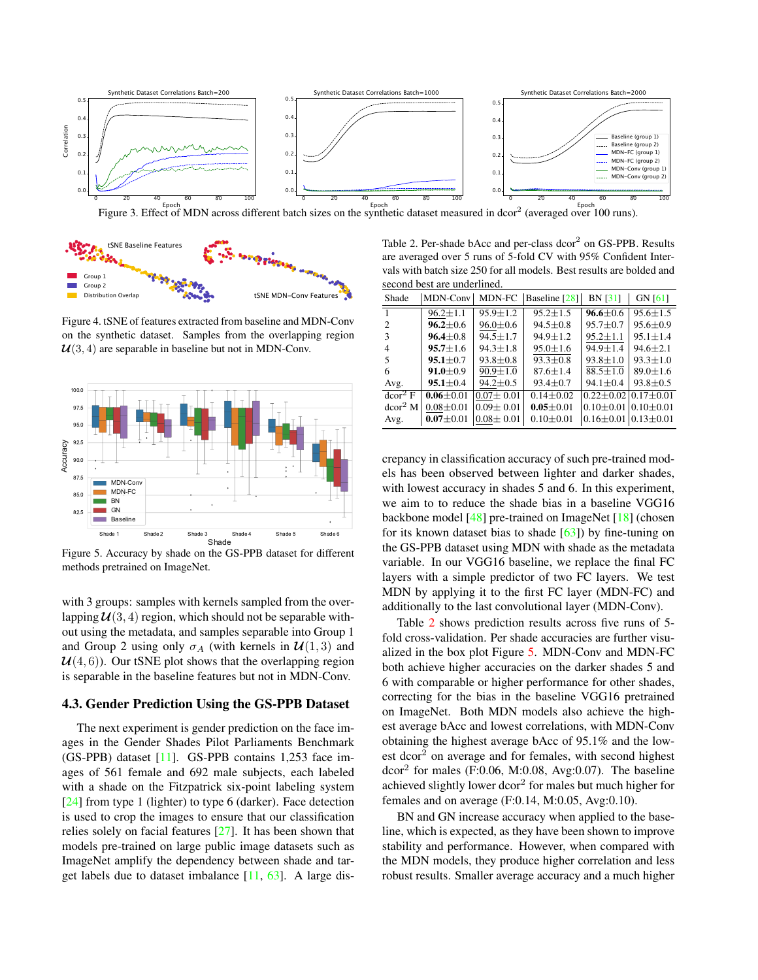

<span id="page-5-0"></span>Figure 3. Effect of MDN across different batch sizes on the synthetic dataset measured in dcor<sup>2</sup> (averaged over 100 runs).



<span id="page-5-1"></span>Figure 4. tSNE of features extracted from baseline and MDN-Conv on the synthetic dataset. Samples from the overlapping region  $U(3, 4)$  are separable in baseline but not in MDN-Conv.



<span id="page-5-3"></span>Figure 5. Accuracy by shade on the GS-PPB dataset for different methods pretrained on ImageNet.

with 3 groups: samples with kernels sampled from the overlapping  $\mathcal{U}(3, 4)$  region, which should not be separable without using the metadata, and samples separable into Group 1 and Group 2 using only  $\sigma_A$  (with kernels in  $\mathcal{U}(1,3)$  and  $U(4, 6)$ ). Our tSNE plot shows that the overlapping region is separable in the baseline features but not in MDN-Conv.

#### 4.3. Gender Prediction Using the GS-PPB Dataset

The next experiment is gender prediction on the face images in the Gender Shades Pilot Parliaments Benchmark (GS-PPB) dataset [\[11\]](#page-8-2). GS-PPB contains 1,253 face images of 561 female and 692 male subjects, each labeled with a shade on the Fitzpatrick six-point labeling system [\[24\]](#page-8-23) from type 1 (lighter) to type 6 (darker). Face detection is used to crop the images to ensure that our classification relies solely on facial features [\[27\]](#page-8-24). It has been shown that models pre-trained on large public image datasets such as ImageNet amplify the dependency between shade and target labels due to dataset imbalance [\[11,](#page-8-2) [63\]](#page-10-6). A large dis-

<span id="page-5-2"></span>Table 2. Per-shade bAcc and per-class dcor<sup>2</sup> on GS-PPB. Results are averaged over 5 runs of 5-fold CV with 95% Confident Intervals with batch size 250 for all models. Best results are bolded and second best are underlined.

| Shade                       | MDN-Conv        | MDN-FC          | Baseline [28]   | <b>BN</b> [31]                    | GN [61]        |
|-----------------------------|-----------------|-----------------|-----------------|-----------------------------------|----------------|
|                             | $96.2 \pm 1.1$  | $95.9 + 1.2$    | $95.2 + 1.5$    | $96.6 \pm 0.6$                    | $95.6 + 1.5$   |
| $\mathcal{D}_{\mathcal{L}}$ | $96.2 + 0.6$    | $96.0 \pm 0.6$  | $94.5 + 0.8$    | $95.7 + 0.7$                      | $95.6 + 0.9$   |
| $\mathcal{R}$               | $96.4 + 0.8$    | $94.5 + 1.7$    | $94.9 + 1.2$    | $95.2 + 1.1$                      | $95.1 + 1.4$   |
| $\overline{4}$              | $95.7 \pm 1.6$  | $94.3 + 1.8$    | $95.0 + 1.6$    | $94.9 + 1.4$                      | $94.6 + 2.1$   |
| 5                           | $95.1 + 0.7$    | $93.8 + 0.8$    | $93.3 + 0.8$    | $93.8 + 1.0$                      | $93.3 + 1.0$   |
| 6                           | $91.0 + 0.9$    | $90.9 \pm 1.0$  | $87.6 + 1.4$    | $88.5 + 1.0$                      | $89.0 + 1.6$   |
| Avg.                        | $95.1 \pm 0.4$  | $94.2 \pm 0.5$  | $93.4 \pm 0.7$  | $94.1 \pm 0.4$                    | $93.8 \pm 0.5$ |
| $dcor^2 \mathbf{F}$         | $0.06 \pm 0.01$ | $0.07 + 0.01$   | $0.14 + 0.02$   | $0.22 + 0.02$ $0.17 + 0.01$       |                |
| dcor <sup>2</sup> M         | $0.08 + 0.01$   | $0.09 + 0.01$   | $0.05 + 0.01$   | $0.10 + 0.01$   $0.10 + 0.01$     |                |
| Avg.                        | $0.07 \pm 0.01$ | $0.08 \pm 0.01$ | $0.10 \pm 0.01$ | $0.16 \pm 0.01$   $0.13 \pm 0.01$ |                |

crepancy in classification accuracy of such pre-trained models has been observed between lighter and darker shades, with lowest accuracy in shades 5 and 6. In this experiment, we aim to to reduce the shade bias in a baseline VGG16 backbone model [\[48\]](#page-9-24) pre-trained on ImageNet [\[18\]](#page-8-25) (chosen for its known dataset bias to shade  $[63]$ ) by fine-tuning on the GS-PPB dataset using MDN with shade as the metadata variable. In our VGG16 baseline, we replace the final FC layers with a simple predictor of two FC layers. We test MDN by applying it to the first FC layer (MDN-FC) and additionally to the last convolutional layer (MDN-Conv).

Table [2](#page-5-2) shows prediction results across five runs of 5 fold cross-validation. Per shade accuracies are further visualized in the box plot Figure [5.](#page-5-3) MDN-Conv and MDN-FC both achieve higher accuracies on the darker shades 5 and 6 with comparable or higher performance for other shades, correcting for the bias in the baseline VGG16 pretrained on ImageNet. Both MDN models also achieve the highest average bAcc and lowest correlations, with MDN-Conv obtaining the highest average bAcc of 95.1% and the lowest dcor<sup>2</sup> on average and for females, with second highest dcor<sup>2</sup> for males (F:0.06, M:0.08, Avg:0.07). The baseline achieved slightly lower dcor<sup>2</sup> for males but much higher for females and on average (F:0.14, M:0.05, Avg:0.10).

BN and GN increase accuracy when applied to the baseline, which is expected, as they have been shown to improve stability and performance. However, when compared with the MDN models, they produce higher correlation and less robust results. Smaller average accuracy and a much higher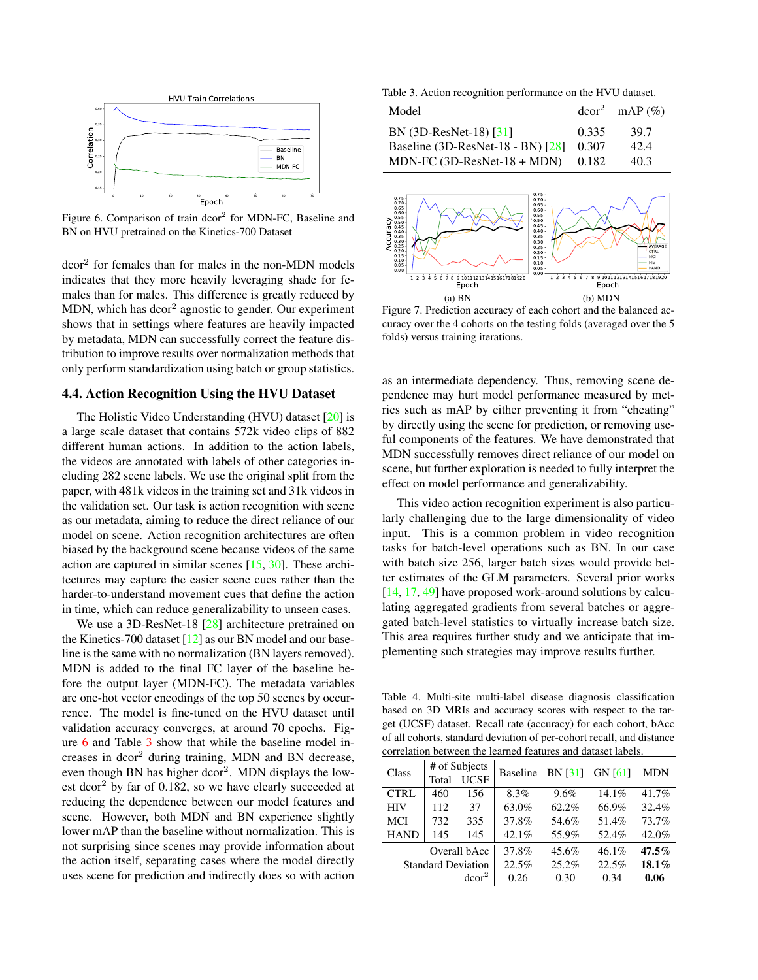

<span id="page-6-0"></span>Figure 6. Comparison of train dcor<sup>2</sup> for MDN-FC, Baseline and BN on HVU pretrained on the Kinetics-700 Dataset

dcor<sup>2</sup> for females than for males in the non-MDN models indicates that they more heavily leveraging shade for females than for males. This difference is greatly reduced by MDN, which has dcor<sup>2</sup> agnostic to gender. Our experiment shows that in settings where features are heavily impacted by metadata, MDN can successfully correct the feature distribution to improve results over normalization methods that only perform standardization using batch or group statistics.

#### 4.4. Action Recognition Using the HVU Dataset

The Holistic Video Understanding (HVU) dataset [\[20\]](#page-8-26) is a large scale dataset that contains 572k video clips of 882 different human actions. In addition to the action labels, the videos are annotated with labels of other categories including 282 scene labels. We use the original split from the paper, with 481k videos in the training set and 31k videos in the validation set. Our task is action recognition with scene as our metadata, aiming to reduce the direct reliance of our model on scene. Action recognition architectures are often biased by the background scene because videos of the same action are captured in similar scenes [\[15,](#page-8-3) [30\]](#page-8-4). These architectures may capture the easier scene cues rather than the harder-to-understand movement cues that define the action in time, which can reduce generalizability to unseen cases.

We use a 3D-ResNet-18 [\[28\]](#page-8-22) architecture pretrained on the Kinetics-700 dataset [\[12\]](#page-8-27) as our BN model and our baseline is the same with no normalization (BN layers removed). MDN is added to the final FC layer of the baseline before the output layer (MDN-FC). The metadata variables are one-hot vector encodings of the top 50 scenes by occurrence. The model is fine-tuned on the HVU dataset until validation accuracy converges, at around 70 epochs. Figure [6](#page-6-0) and Table [3](#page-6-1) show that while the baseline model increases in dcor<sup>2</sup> during training, MDN and BN decrease, even though BN has higher dcor<sup>2</sup>. MDN displays the lowest dcor<sup>2</sup> by far of 0.182, so we have clearly succeeded at reducing the dependence between our model features and scene. However, both MDN and BN experience slightly lower mAP than the baseline without normalization. This is not surprising since scenes may provide information about the action itself, separating cases where the model directly uses scene for prediction and indirectly does so with action

<span id="page-6-1"></span>Table 3. Action recognition performance on the HVU dataset.

| Model                             |       | $dcor^2$ mAP $(\%)$ |
|-----------------------------------|-------|---------------------|
| BN (3D-ResNet-18) [31]            | 0.335 | 39.7                |
| Baseline (3D-ResNet-18 - BN) [28] | 0.307 | 42.4                |
| $MDN-FC (3D-ResNet-18 + MDN)$     | 0.182 | 40.3                |



<span id="page-6-3"></span>Figure 7. Prediction accuracy of each cohort and the balanced accuracy over the 4 cohorts on the testing folds (averaged over the 5 folds) versus training iterations.

as an intermediate dependency. Thus, removing scene dependence may hurt model performance measured by metrics such as mAP by either preventing it from "cheating" by directly using the scene for prediction, or removing useful components of the features. We have demonstrated that MDN successfully removes direct reliance of our model on scene, but further exploration is needed to fully interpret the effect on model performance and generalizability.

This video action recognition experiment is also particularly challenging due to the large dimensionality of video input. This is a common problem in video recognition tasks for batch-level operations such as BN. In our case with batch size 256, larger batch sizes would provide better estimates of the GLM parameters. Several prior works [\[14,](#page-8-28) [17,](#page-8-29) [49\]](#page-9-25) have proposed work-around solutions by calculating aggregated gradients from several batches or aggregated batch-level statistics to virtually increase batch size. This area requires further study and we anticipate that implementing such strategies may improve results further.

<span id="page-6-2"></span>Table 4. Multi-site multi-label disease diagnosis classification based on 3D MRIs and accuracy scores with respect to the target (UCSF) dataset. Recall rate (accuracy) for each cohort, bAcc of all cohorts, standard deviation of per-cohort recall, and distance correlation between the learned features and dataset labels.

| Class                     | # of Subjects |                   | <b>Baseline</b> | <b>BN</b> [31] | <b>GN [61]</b> | <b>MDN</b> |
|---------------------------|---------------|-------------------|-----------------|----------------|----------------|------------|
|                           | Total         | <b>UCSF</b>       |                 |                |                |            |
| <b>CTRL</b>               | 460           | 156               | 8.3%            | 9.6%           | 14.1%          | 41.7%      |
| <b>HIV</b>                | 112           | 37                | 63.0%           | 62.2%          | 66.9%          | 32.4%      |
| MCI                       | 732           | 335               | 37.8%           | 54.6%          | 51.4%          | 73.7%      |
| <b>HAND</b>               | 145           | 145               | 42.1%           | 55.9%          | 52.4%          | 42.0%      |
| Overall bAcc              |               | 37.8%             | $45.6\%$        | 46.1%          | 47.5%          |            |
| <b>Standard Deviation</b> |               | 22.5%             | 25.2%           | 22.5%          | 18.1%          |            |
|                           |               | dcor <sup>2</sup> | 0.26            | 0.30           | 0.34           | 0.06       |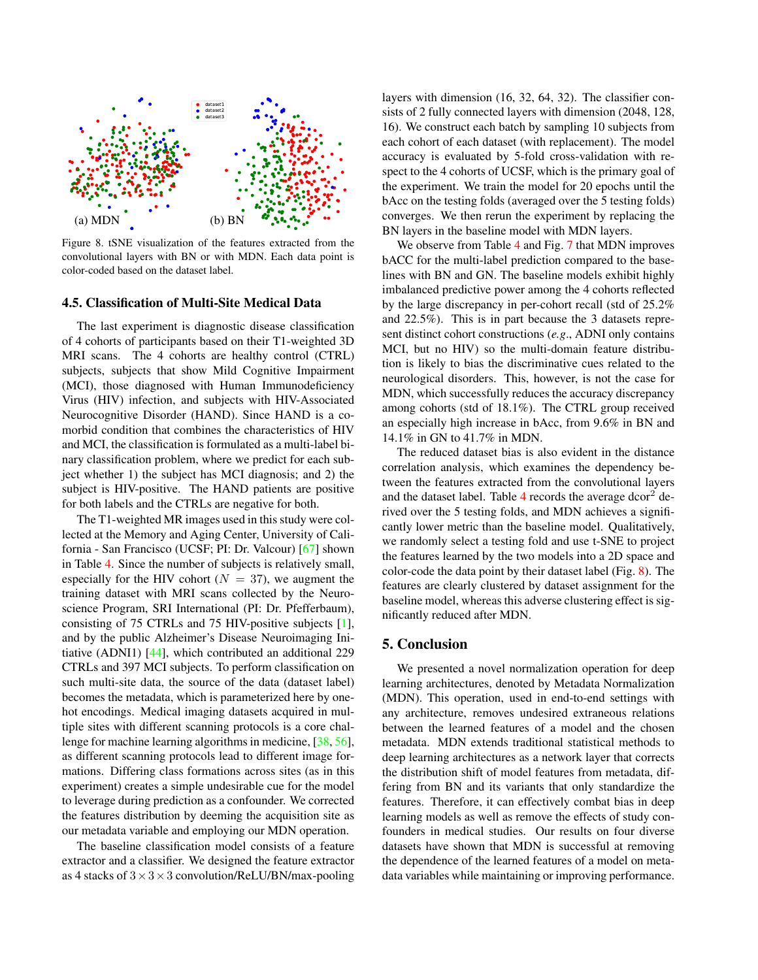

<span id="page-7-0"></span>Figure 8. tSNE visualization of the features extracted from the convolutional layers with BN or with MDN. Each data point is color-coded based on the dataset label.

#### 4.5. Classification of Multi-Site Medical Data

The last experiment is diagnostic disease classification of 4 cohorts of participants based on their T1-weighted 3D MRI scans. The 4 cohorts are healthy control (CTRL) subjects, subjects that show Mild Cognitive Impairment (MCI), those diagnosed with Human Immunodeficiency Virus (HIV) infection, and subjects with HIV-Associated Neurocognitive Disorder (HAND). Since HAND is a comorbid condition that combines the characteristics of HIV and MCI, the classification is formulated as a multi-label binary classification problem, where we predict for each subject whether 1) the subject has MCI diagnosis; and 2) the subject is HIV-positive. The HAND patients are positive for both labels and the CTRLs are negative for both.

The T1-weighted MR images used in this study were collected at the Memory and Aging Center, University of California - San Francisco (UCSF; PI: Dr. Valcour) [\[67\]](#page-10-9) shown in Table [4.](#page-6-2) Since the number of subjects is relatively small, especially for the HIV cohort ( $N = 37$ ), we augment the training dataset with MRI scans collected by the Neuroscience Program, SRI International (PI: Dr. Pfefferbaum), consisting of 75 CTRLs and 75 HIV-positive subjects [\[1\]](#page-8-8), and by the public Alzheimer's Disease Neuroimaging Initiative (ADNI1) [\[44\]](#page-9-26), which contributed an additional 229 CTRLs and 397 MCI subjects. To perform classification on such multi-site data, the source of the data (dataset label) becomes the metadata, which is parameterized here by onehot encodings. Medical imaging datasets acquired in multiple sites with different scanning protocols is a core challenge for machine learning algorithms in medicine, [\[38,](#page-9-27) [56\]](#page-9-28), as different scanning protocols lead to different image formations. Differing class formations across sites (as in this experiment) creates a simple undesirable cue for the model to leverage during prediction as a confounder. We corrected the features distribution by deeming the acquisition site as our metadata variable and employing our MDN operation.

The baseline classification model consists of a feature extractor and a classifier. We designed the feature extractor as 4 stacks of  $3 \times 3 \times 3$  convolution/ReLU/BN/max-pooling layers with dimension (16, 32, 64, 32). The classifier consists of 2 fully connected layers with dimension (2048, 128, 16). We construct each batch by sampling 10 subjects from each cohort of each dataset (with replacement). The model accuracy is evaluated by 5-fold cross-validation with respect to the 4 cohorts of UCSF, which is the primary goal of the experiment. We train the model for 20 epochs until the bAcc on the testing folds (averaged over the 5 testing folds) converges. We then rerun the experiment by replacing the BN layers in the baseline model with MDN layers.

We observe from Table [4](#page-6-2) and Fig. [7](#page-6-3) that MDN improves bACC for the multi-label prediction compared to the baselines with BN and GN. The baseline models exhibit highly imbalanced predictive power among the 4 cohorts reflected by the large discrepancy in per-cohort recall (std of 25.2% and 22.5%). This is in part because the 3 datasets represent distinct cohort constructions (*e.g*., ADNI only contains MCI, but no HIV) so the multi-domain feature distribution is likely to bias the discriminative cues related to the neurological disorders. This, however, is not the case for MDN, which successfully reduces the accuracy discrepancy among cohorts (std of 18.1%). The CTRL group received an especially high increase in bAcc, from 9.6% in BN and 14.1% in GN to 41.7% in MDN.

The reduced dataset bias is also evident in the distance correlation analysis, which examines the dependency between the features extracted from the convolutional layers and the dataset label. Table  $4$  records the average dcor<sup>2</sup> derived over the 5 testing folds, and MDN achieves a significantly lower metric than the baseline model. Qualitatively, we randomly select a testing fold and use t-SNE to project the features learned by the two models into a 2D space and color-code the data point by their dataset label (Fig. [8\)](#page-7-0). The features are clearly clustered by dataset assignment for the baseline model, whereas this adverse clustering effect is significantly reduced after MDN.

### 5. Conclusion

We presented a novel normalization operation for deep learning architectures, denoted by Metadata Normalization (MDN). This operation, used in end-to-end settings with any architecture, removes undesired extraneous relations between the learned features of a model and the chosen metadata. MDN extends traditional statistical methods to deep learning architectures as a network layer that corrects the distribution shift of model features from metadata, differing from BN and its variants that only standardize the features. Therefore, it can effectively combat bias in deep learning models as well as remove the effects of study confounders in medical studies. Our results on four diverse datasets have shown that MDN is successful at removing the dependence of the learned features of a model on metadata variables while maintaining or improving performance.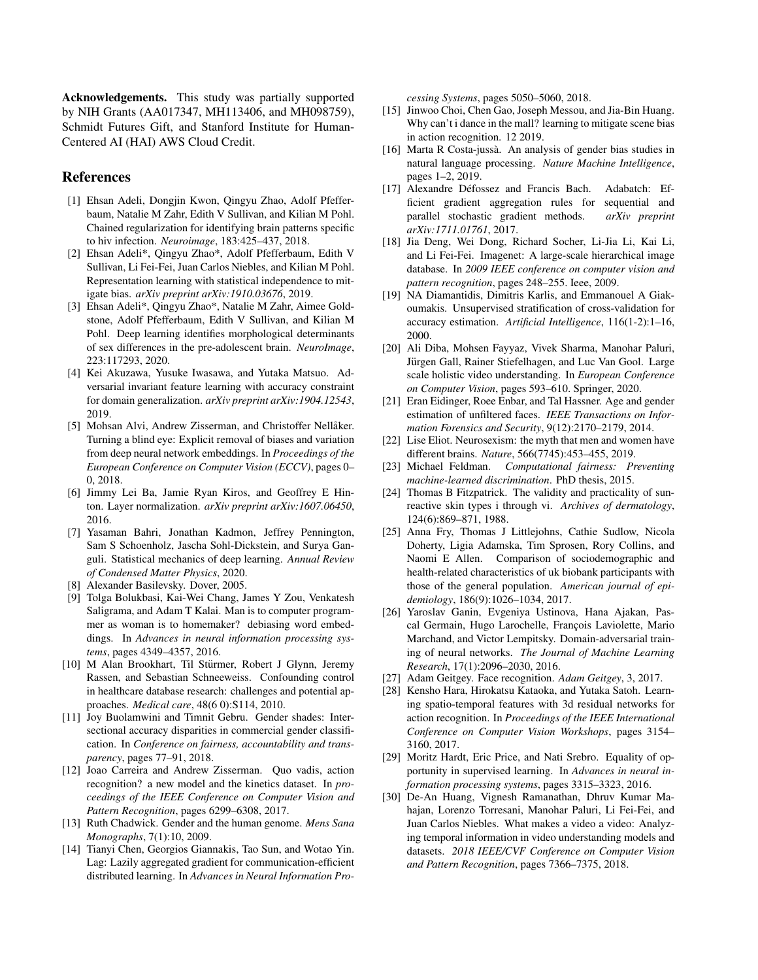Acknowledgements. This study was partially supported by NIH Grants (AA017347, MH113406, and MH098759), Schmidt Futures Gift, and Stanford Institute for Human-Centered AI (HAI) AWS Cloud Credit.

### References

- <span id="page-8-8"></span>[1] Ehsan Adeli, Dongjin Kwon, Qingyu Zhao, Adolf Pfefferbaum, Natalie M Zahr, Edith V Sullivan, and Kilian M Pohl. Chained regularization for identifying brain patterns specific to hiv infection. *Neuroimage*, 183:425–437, 2018.
- <span id="page-8-1"></span>[2] Ehsan Adeli\*, Qingyu Zhao\*, Adolf Pfefferbaum, Edith V Sullivan, Li Fei-Fei, Juan Carlos Niebles, and Kilian M Pohl. Representation learning with statistical independence to mitigate bias. *arXiv preprint arXiv:1910.03676*, 2019.
- <span id="page-8-17"></span>[3] Ehsan Adeli\*, Qingyu Zhao\*, Natalie M Zahr, Aimee Goldstone, Adolf Pfefferbaum, Edith V Sullivan, and Kilian M Pohl. Deep learning identifies morphological determinants of sex differences in the pre-adolescent brain. *NeuroImage*, 223:117293, 2020.
- <span id="page-8-6"></span>[4] Kei Akuzawa, Yusuke Iwasawa, and Yutaka Matsuo. Adversarial invariant feature learning with accuracy constraint for domain generalization. *arXiv preprint arXiv:1904.12543*, 2019.
- <span id="page-8-20"></span>[5] Mohsan Alvi, Andrew Zisserman, and Christoffer Nellåker. Turning a blind eye: Explicit removal of biases and variation from deep neural network embeddings. In *Proceedings of the European Conference on Computer Vision (ECCV)*, pages 0– 0, 2018.
- <span id="page-8-9"></span>[6] Jimmy Lei Ba, Jamie Ryan Kiros, and Geoffrey E Hinton. Layer normalization. *arXiv preprint arXiv:1607.06450*, 2016.
- <span id="page-8-0"></span>[7] Yasaman Bahri, Jonathan Kadmon, Jeffrey Pennington, Sam S Schoenholz, Jascha Sohl-Dickstein, and Surya Ganguli. Statistical mechanics of deep learning. *Annual Review of Condensed Matter Physics*, 2020.
- <span id="page-8-21"></span>[8] Alexander Basilevsky. Dover, 2005.
- <span id="page-8-14"></span>[9] Tolga Bolukbasi, Kai-Wei Chang, James Y Zou, Venkatesh Saligrama, and Adam T Kalai. Man is to computer programmer as woman is to homemaker? debiasing word embeddings. In *Advances in neural information processing systems*, pages 4349–4357, 2016.
- <span id="page-8-5"></span>[10] M Alan Brookhart, Til Stürmer, Robert J Glynn, Jeremy Rassen, and Sebastian Schneeweiss. Confounding control in healthcare database research: challenges and potential approaches. *Medical care*, 48(6 0):S114, 2010.
- <span id="page-8-2"></span>[11] Joy Buolamwini and Timnit Gebru. Gender shades: Intersectional accuracy disparities in commercial gender classification. In *Conference on fairness, accountability and transparency*, pages 77–91, 2018.
- <span id="page-8-27"></span>[12] Joao Carreira and Andrew Zisserman. Quo vadis, action recognition? a new model and the kinetics dataset. In *proceedings of the IEEE Conference on Computer Vision and Pattern Recognition*, pages 6299–6308, 2017.
- <span id="page-8-16"></span>[13] Ruth Chadwick. Gender and the human genome. *Mens Sana Monographs*, 7(1):10, 2009.
- <span id="page-8-28"></span>[14] Tianyi Chen, Georgios Giannakis, Tao Sun, and Wotao Yin. Lag: Lazily aggregated gradient for communication-efficient distributed learning. In *Advances in Neural Information Pro-*

*cessing Systems*, pages 5050–5060, 2018.

- <span id="page-8-3"></span>[15] Jinwoo Choi, Chen Gao, Joseph Messou, and Jia-Bin Huang. Why can't i dance in the mall? learning to mitigate scene bias in action recognition. 12 2019.
- <span id="page-8-15"></span>[16] Marta R Costa-jussa. An analysis of gender bias studies in ` natural language processing. *Nature Machine Intelligence*, pages 1–2, 2019.
- <span id="page-8-29"></span>[17] Alexandre Défossez and Francis Bach. Adabatch: Efficient gradient aggregation rules for sequential and parallel stochastic gradient methods. *arXiv preprint arXiv:1711.01761*, 2017.
- <span id="page-8-25"></span>[18] Jia Deng, Wei Dong, Richard Socher, Li-Jia Li, Kai Li, and Li Fei-Fei. Imagenet: A large-scale hierarchical image database. In *2009 IEEE conference on computer vision and pattern recognition*, pages 248–255. Ieee, 2009.
- <span id="page-8-10"></span>[19] NA Diamantidis, Dimitris Karlis, and Emmanouel A Giakoumakis. Unsupervised stratification of cross-validation for accuracy estimation. *Artificial Intelligence*, 116(1-2):1–16, 2000.
- <span id="page-8-26"></span>[20] Ali Diba, Mohsen Fayyaz, Vivek Sharma, Manohar Paluri, Jürgen Gall, Rainer Stiefelhagen, and Luc Van Gool. Large scale holistic video understanding. In *European Conference on Computer Vision*, pages 593–610. Springer, 2020.
- <span id="page-8-13"></span>[21] Eran Eidinger, Roee Enbar, and Tal Hassner. Age and gender estimation of unfiltered faces. *IEEE Transactions on Information Forensics and Security*, 9(12):2170–2179, 2014.
- <span id="page-8-18"></span>[22] Lise Eliot. Neurosexism: the myth that men and women have different brains. *Nature*, 566(7745):453–455, 2019.
- <span id="page-8-11"></span>[23] Michael Feldman. *Computational fairness: Preventing machine-learned discrimination*. PhD thesis, 2015.
- <span id="page-8-23"></span>[24] Thomas B Fitzpatrick. The validity and practicality of sunreactive skin types i through vi. *Archives of dermatology*, 124(6):869–871, 1988.
- <span id="page-8-19"></span>[25] Anna Fry, Thomas J Littlejohns, Cathie Sudlow, Nicola Doherty, Ligia Adamska, Tim Sprosen, Rory Collins, and Naomi E Allen. Comparison of sociodemographic and health-related characteristics of uk biobank participants with those of the general population. *American journal of epidemiology*, 186(9):1026–1034, 2017.
- <span id="page-8-7"></span>[26] Yaroslav Ganin, Evgeniya Ustinova, Hana Ajakan, Pascal Germain, Hugo Larochelle, François Laviolette, Mario Marchand, and Victor Lempitsky. Domain-adversarial training of neural networks. *The Journal of Machine Learning Research*, 17(1):2096–2030, 2016.
- <span id="page-8-24"></span><span id="page-8-22"></span>[27] Adam Geitgey. Face recognition. *Adam Geitgey*, 3, 2017.
- [28] Kensho Hara, Hirokatsu Kataoka, and Yutaka Satoh. Learning spatio-temporal features with 3d residual networks for action recognition. In *Proceedings of the IEEE International Conference on Computer Vision Workshops*, pages 3154– 3160, 2017.
- <span id="page-8-12"></span>[29] Moritz Hardt, Eric Price, and Nati Srebro. Equality of opportunity in supervised learning. In *Advances in neural information processing systems*, pages 3315–3323, 2016.
- <span id="page-8-4"></span>[30] De-An Huang, Vignesh Ramanathan, Dhruv Kumar Mahajan, Lorenzo Torresani, Manohar Paluri, Li Fei-Fei, and Juan Carlos Niebles. What makes a video a video: Analyzing temporal information in video understanding models and datasets. *2018 IEEE/CVF Conference on Computer Vision and Pattern Recognition*, pages 7366–7375, 2018.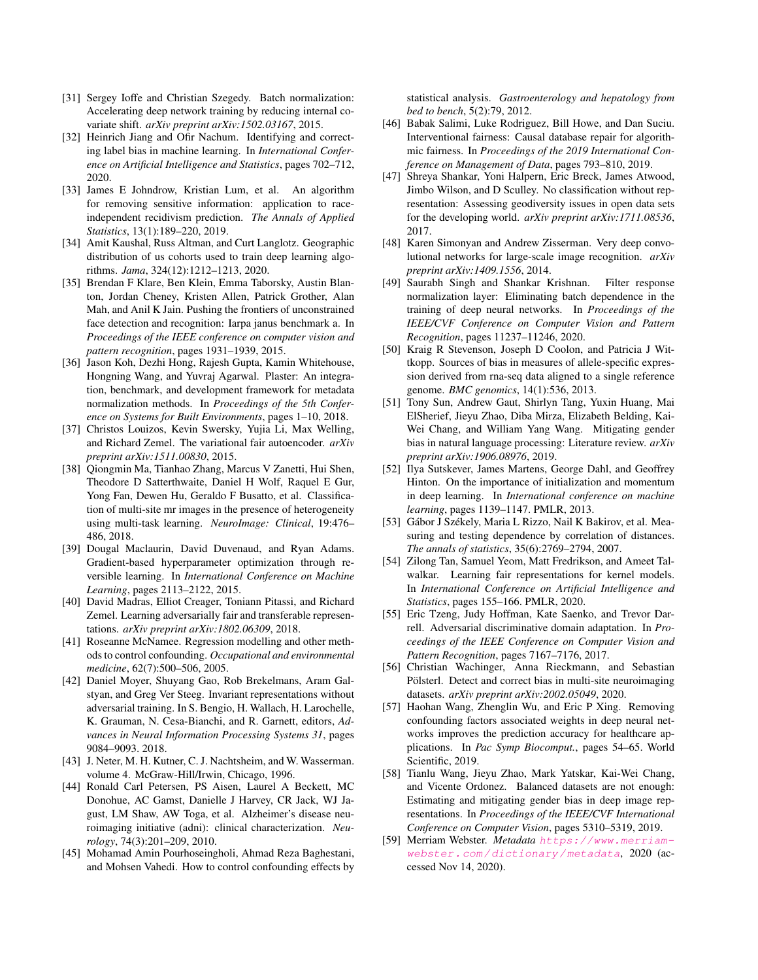- <span id="page-9-0"></span>[31] Sergey Ioffe and Christian Szegedy. Batch normalization: Accelerating deep network training by reducing internal covariate shift. *arXiv preprint arXiv:1502.03167*, 2015.
- <span id="page-9-11"></span>[32] Heinrich Jiang and Ofir Nachum. Identifying and correcting label bias in machine learning. In *International Conference on Artificial Intelligence and Statistics*, pages 702–712, 2020.
- <span id="page-9-20"></span>[33] James E Johndrow, Kristian Lum, et al. An algorithm for removing sensitive information: application to raceindependent recidivism prediction. *The Annals of Applied Statistics*, 13(1):189–220, 2019.
- <span id="page-9-15"></span>[34] Amit Kaushal, Russ Altman, and Curt Langlotz. Geographic distribution of us cohorts used to train deep learning algorithms. *Jama*, 324(12):1212–1213, 2020.
- <span id="page-9-12"></span>[35] Brendan F Klare, Ben Klein, Emma Taborsky, Austin Blanton, Jordan Cheney, Kristen Allen, Patrick Grother, Alan Mah, and Anil K Jain. Pushing the frontiers of unconstrained face detection and recognition: Iarpa janus benchmark a. In *Proceedings of the IEEE conference on computer vision and pattern recognition*, pages 1931–1939, 2015.
- <span id="page-9-10"></span>[36] Jason Koh, Dezhi Hong, Rajesh Gupta, Kamin Whitehouse, Hongning Wang, and Yuvraj Agarwal. Plaster: An integration, benchmark, and development framework for metadata normalization methods. In *Proceedings of the 5th Conference on Systems for Built Environments*, pages 1–10, 2018.
- <span id="page-9-17"></span>[37] Christos Louizos, Kevin Swersky, Yujia Li, Max Welling, and Richard Zemel. The variational fair autoencoder. *arXiv preprint arXiv:1511.00830*, 2015.
- <span id="page-9-27"></span>[38] Qiongmin Ma, Tianhao Zhang, Marcus V Zanetti, Hui Shen, Theodore D Satterthwaite, Daniel H Wolf, Raquel E Gur, Yong Fan, Dewen Hu, Geraldo F Busatto, et al. Classification of multi-site mr images in the presence of heterogeneity using multi-task learning. *NeuroImage: Clinical*, 19:476– 486, 2018.
- <span id="page-9-1"></span>[39] Dougal Maclaurin, David Duvenaud, and Ryan Adams. Gradient-based hyperparameter optimization through reversible learning. In *International Conference on Machine Learning*, pages 2113–2122, 2015.
- <span id="page-9-18"></span>[40] David Madras, Elliot Creager, Toniann Pitassi, and Richard Zemel. Learning adversarially fair and transferable representations. *arXiv preprint arXiv:1802.06309*, 2018.
- <span id="page-9-7"></span>[41] Roseanne McNamee. Regression modelling and other methods to control confounding. *Occupational and environmental medicine*, 62(7):500–506, 2005.
- <span id="page-9-5"></span>[42] Daniel Moyer, Shuyang Gao, Rob Brekelmans, Aram Galstyan, and Greg Ver Steeg. Invariant representations without adversarial training. In S. Bengio, H. Wallach, H. Larochelle, K. Grauman, N. Cesa-Bianchi, and R. Garnett, editors, *Advances in Neural Information Processing Systems 31*, pages 9084–9093. 2018.
- <span id="page-9-9"></span>[43] J. Neter, M. H. Kutner, C. J. Nachtsheim, and W. Wasserman. volume 4. McGraw-Hill/Irwin, Chicago, 1996.
- <span id="page-9-26"></span>[44] Ronald Carl Petersen, PS Aisen, Laurel A Beckett, MC Donohue, AC Gamst, Danielle J Harvey, CR Jack, WJ Jagust, LM Shaw, AW Toga, et al. Alzheimer's disease neuroimaging initiative (adni): clinical characterization. *Neurology*, 74(3):201–209, 2010.
- <span id="page-9-8"></span>[45] Mohamad Amin Pourhoseingholi, Ahmad Reza Baghestani, and Mohsen Vahedi. How to control confounding effects by

statistical analysis. *Gastroenterology and hepatology from bed to bench*, 5(2):79, 2012.

- <span id="page-9-3"></span>[46] Babak Salimi, Luke Rodriguez, Bill Howe, and Dan Suciu. Interventional fairness: Causal database repair for algorithmic fairness. In *Proceedings of the 2019 International Conference on Management of Data*, pages 793–810, 2019.
- <span id="page-9-13"></span>[47] Shreya Shankar, Yoni Halpern, Eric Breck, James Atwood, Jimbo Wilson, and D Sculley. No classification without representation: Assessing geodiversity issues in open data sets for the developing world. *arXiv preprint arXiv:1711.08536*, 2017.
- <span id="page-9-24"></span>[48] Karen Simonyan and Andrew Zisserman. Very deep convolutional networks for large-scale image recognition. *arXiv preprint arXiv:1409.1556*, 2014.
- <span id="page-9-25"></span>[49] Saurabh Singh and Shankar Krishnan. Filter response normalization layer: Eliminating batch dependence in the training of deep neural networks. In *Proceedings of the IEEE/CVF Conference on Computer Vision and Pattern Recognition*, pages 11237–11246, 2020.
- <span id="page-9-16"></span>[50] Kraig R Stevenson, Joseph D Coolon, and Patricia J Wittkopp. Sources of bias in measures of allele-specific expression derived from rna-seq data aligned to a single reference genome. *BMC genomics*, 14(1):536, 2013.
- <span id="page-9-14"></span>[51] Tony Sun, Andrew Gaut, Shirlyn Tang, Yuxin Huang, Mai ElSherief, Jieyu Zhao, Diba Mirza, Elizabeth Belding, Kai-Wei Chang, and William Yang Wang. Mitigating gender bias in natural language processing: Literature review. *arXiv preprint arXiv:1906.08976*, 2019.
- <span id="page-9-22"></span>[52] Ilya Sutskever, James Martens, George Dahl, and Geoffrey Hinton. On the importance of initialization and momentum in deep learning. In *International conference on machine learning*, pages 1139–1147. PMLR, 2013.
- <span id="page-9-23"></span>[53] Gábor J Székely, Maria L Rizzo, Nail K Bakirov, et al. Measuring and testing dependence by correlation of distances. *The annals of statistics*, 35(6):2769–2794, 2007.
- <span id="page-9-21"></span>[54] Zilong Tan, Samuel Yeom, Matt Fredrikson, and Ameet Talwalkar. Learning fair representations for kernel models. In *International Conference on Artificial Intelligence and Statistics*, pages 155–166. PMLR, 2020.
- <span id="page-9-6"></span>[55] Eric Tzeng, Judy Hoffman, Kate Saenko, and Trevor Darrell. Adversarial discriminative domain adaptation. In *Proceedings of the IEEE Conference on Computer Vision and Pattern Recognition*, pages 7167–7176, 2017.
- <span id="page-9-28"></span>[56] Christian Wachinger, Anna Rieckmann, and Sebastian Pölsterl. Detect and correct bias in multi-site neuroimaging datasets. *arXiv preprint arXiv:2002.05049*, 2020.
- <span id="page-9-2"></span>[57] Haohan Wang, Zhenglin Wu, and Eric P Xing. Removing confounding factors associated weights in deep neural networks improves the prediction accuracy for healthcare applications. In *Pac Symp Biocomput.*, pages 54–65. World Scientific, 2019.
- <span id="page-9-19"></span>[58] Tianlu Wang, Jieyu Zhao, Mark Yatskar, Kai-Wei Chang, and Vicente Ordonez. Balanced datasets are not enough: Estimating and mitigating gender bias in deep image representations. In *Proceedings of the IEEE/CVF International Conference on Computer Vision*, pages 5310–5319, 2019.
- <span id="page-9-4"></span>[59] Merriam Webster. *Metadata* [https://www.merriam](https://www.merriam-webster.com/dictionary/metadata)[webster.com/dictionary/metadata](https://www.merriam-webster.com/dictionary/metadata), 2020 (accessed Nov 14, 2020).